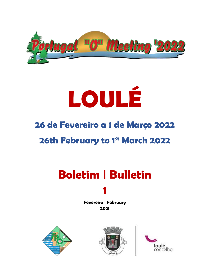

# **LOULÉ**

# **26 de Fevereiro a 1 de Março 2022**

# **26th February to 1st March 2022**

# **Boletim | Bulletin**

**1**

#### **Fevereiro | February 2021**





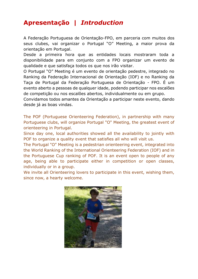# **Apresentação |** *Introduction*

A Federação Portuguesa de Orientação-FPO, em parceria com muitos dos seus clubes, vai organizar o Portugal "O" Meeting, a maior prova da orientação em Portugal.

Desde a primeira hora que as entidades locais mostraram toda a disponibilidade para em conjunto com a FPO organizar um evento de qualidade e que satisfaça todos os que nos irão visitar.

O Portugal "O" Meeting é um evento de orientação pedestre, integrado no Ranking da Federação Internacional de Orientação (IOF) e no Ranking da Taça de Portugal da Federação Portuguesa de Orientação - FPO. É um evento aberto a pessoas de qualquer idade, podendo participar nos escalões de competição ou nos escalões abertos, individualmente ou em grupo.

Convidamos todos amantes da Orientação a participar neste evento, dando desde já as boas vindas.

The POF (Portuguese Orienteering Federation), in partnership with many Portuguese clubs, will organize Portugal "O" Meeting, the greatest event of orienteering in Portugal.

Since day one, local authorities showed all the availability to jointly with POF to organize a quality event that satisfies all who will visit us.

The Portugal "O" Meeting is a pedestrian orienteering event, integrated into the World Ranking of the International Orienteering Federation (IOF) and in the Portuguese Cup ranking of POF. It is an event open to people of any age, being able to participate either in competition or open classes, individually or in a group.

We invite all Orienteering lovers to participate in this event, wishing them, since now, a hearty welcome.

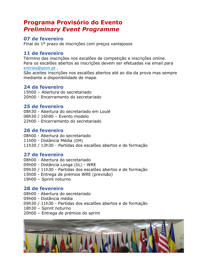### **Programa Provisório do Evento** *Preliminary Event Programme*

#### **07 de fevereiro**

Final do 1º prazo de inscrições com preços vantajosos

#### **11 de fevereiro**

Término das inscrições nos escalões de competição e inscrições online. Para os escalões abertos as inscrições devem ser efetuadas via email para [entries@pom.pt](mailto:entries@pom.pt) .

São aceites inscrições nos escalões abertos até ao dia da prova mas sempre mediante a disponibilidade de mapa.

#### **24 de fevereiro**

15h00 – Abertura do secretariado 20h00 - Encerramento do secretariado

#### **25 de fevereiro**

08h30 - Abertura do secretariado em Loulé 08h30 / 16h00 – Evento modelo 22h00 - Encerramento do secretariado

#### **26 de fevereiro**

08h00 - Abertura do secretariado 11h00 - Distância Média (DM) 11h30 / 13h30 - Partidas dos escalões abertos e de formação

#### **27 de fevereiro**

08h00 - Abertura do secretariado 09h00 - Distância Longa (DL) - WRE 09h30 / 11h30 - Partidas dos escalões abertos e de formação 15h00 - Entrega de prémios WRE (previsão) 19h00 – Sprint noturno

#### **28 de fevereiro**

- 08h00 Abertura do secretariado
- 09h00 Distância média
- 09h30 / 11h30 Partidas dos escalões abertos e de formação
- 18h30 Sprint noturno
- 20h00 Entrega de prémios do sprint

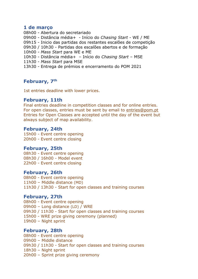#### **1 de março**

- 08h00 Abertura do secretariado
- 09h00 Distância média+ Início do *Chasing Start* WE / ME
- 09h15 Inicio das partidas dos restantes escalões de competição
- 09h30 / 10h30 Partidas dos escalões abertos e de formação
- 10h00 *Mass Start* para WE e ME
- 10h30 Distância média+ Início do *Chasing Start* MSE
- 11h30 *Mass Start* para MSE
- 13h30 Entrega de prémios e encerramento do POM 2021

#### February, 7<sup>th</sup>

1st entries deadline with lower prices.

#### **February, 11th**

Final entries deadline in competition classes and for online entries. For open classes, entries must be sent by email to [entries@pom.pt](mailto:entries@pom.pt) Entries for Open Classes are accepted until the day of the event but always subject of map availability.

#### **February, 24th**

15h00 - Event centre opening 20h00 - Event centre closing

#### **February, 25th**

08h30 - Event centre opening 08h30 / 16h00 - Model event 22h00 - Event centre closing

#### **February, 26th**

08h00 - Event centre opening 11h00 – Middle distance (MD) 11h30 / 13h30 - Start for open classes and training courses

#### **February, 27th**

08h00 - Event centre opening 09h00 – Long distance (LD) / WRE 09h30 / 11h30 - Start for open classes and training courses 15h00 - WRE prize giving ceremony (planned) 19h00 – Night sprint

#### **February, 28th**

08h00 - Event centre opening 09h00 – Middle distance 09h30 / 11h30 - Start for open classes and training courses 18h30 – Night sprint 20h00 – Sprint prize giving ceremony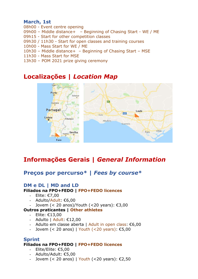#### **March, 1st**

- 08h00 Event centre opening
- 09h00 Middle distance+ Beginning of Chasing Start WE / ME
- 09h15 Start for other competition classes
- 09h30 / 11h30 Start for open classes and training courses
- 10h00 Mass Start for WE / ME
- 10h30 Middle distance+ Beginning of Chasing Start MSE
- 11h30 Mass Start for MSE
- 13h30 POM 2021 prize giving ceremony

# **Localizações |** *Location Map*



# **Informações Gerais |** *General Information*

#### **Preços por percurso\* |** *Fees by course***\***

#### **DM e DL | MD and LD**

#### **Filiados na FPO+FEDO | FPO+FEDO licences**

- Elite: €7,00
- Adulto/Adult: €6,00
- Jovem  $( $20 \text{ anos}$ )/Youth ( $20 \text{ years}$ ):  $\epsilon$ 3.00)$

#### **Outros praticantes | Other athletes**

- Elite: €13,00
- Adulto | Adult: €12,00
- Adulto em classe aberta | Adult in open class: €6,00
- Jovem  $(< 20$  anos) | Youth  $(< 20$  years): €5,00

#### **Sprint**

#### **Filiados na FPO+FEDO | FPO+FEDO licences**

- Elite/Elite: €5,00
- Adulto/Adult: €5,00
- Jovem (< 20 anos) | Youth (< 20 years): €2,50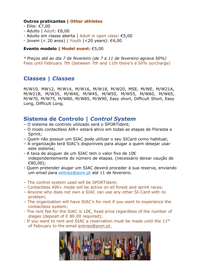#### **Outros praticantes | Other athletes**

- Elite: €7,00
- Adulto | Adult: €6,00
- Adulto em classe aberta | Adult in open class: €5,00
- Jovem (< 20 anos) | Youth (<20 years): €4,00

#### **Evento modelo | Model event:** €5,00

*\* Preços até ao dia 7 de fevereiro (de 7 a 11 de fevereiro agrava 50%)* Fees until February 7th (between 7th and 11th there's a 50% surcharge)

#### **Classes |** *Classes*

M/W10, MW12, M/W14, M/W16, M/W18, M/W20, MSE, M/WE, M/W21A, M/W21B, M/W35, M/W40, M/W45, M/W50, M/W55, M/W60, M/W65, M/W70, M/W75, M/W80, M/W85, M/W90, Easy short, Difficult Short, Easy Long, Difficult Long.

#### **Sistema de Controlo |** *Control System*

- O sistema de controlo utilizado será o SPORTident;
- O modo *contactless* AIR+ estará ativo em todas as etapas de Floresta e Sprint;
- Quem não possuir um SIAC pode utilizar o seu SICard como habitual;
- A organização terá SIAC's disponíveis para alugar a quem desejar usar este sistema;
- A taxa de aluguer de um SIAC tem o valor fixo de 10€ independentemente do número de etapas. (necessário deixar caução de €80,00);
- Quem pretender alugar um SIAC deverá proceder à sua reserva, enviando um email para [entries@pom.pt](mailto:entries@pom.pt) até 11 de fevereiro.
- The control system used will be SPORTident;
- Contactless AIR+ mode will be active on all forest and sprint races;
- Anyone who does not own a SIAC can use any other SI-Card with no problem;
- The organization will have SIAC's for rent if you want to experience the contactless system;
- The rent fee for the SIAC is 10€, fixed price regardless of the number of stages (deposit of  $\epsilon$  80.00 required);
- If you want to rent and SIAC a reservation must be made until the  $11<sup>th</sup>$ of February to the email [entries@pom.pt.](mailto:entries@pom.pt)